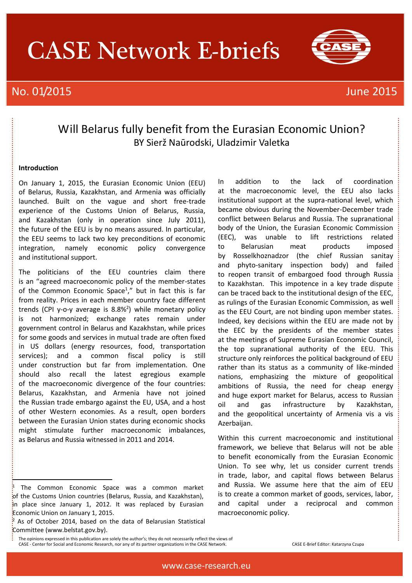# CASE Network E-briefs

# No. 01/2015 **June 2015**



# Will Belarus fully benefit from the Eurasian Economic Union? BY Sierž Naūrodski, Uladzimir Valetka

## **Introduction**

i

On January 1, 2015, the Eurasian Economic Union (EEU) of Belarus, Russia, Kazakhstan, and Armenia was officially launched. Built on the vague and short free-trade experience of the Customs Union of Belarus, Russia, and Kazakhstan (only in operation since July 2011), the future of the EEU is by no means assured. In particular, the EEU seems to lack two key preconditions of economic integration, namely economic policy convergence and institutional support.

The politicians of the EEU countries claim there is an "agreed macroeconomic policy of the member-states of the Common Economic Space<sup>1</sup>," but in fact this is far from reality. Prices in each member country face different trends (CPI y-o-y average is 8.8%<sup>2</sup>) while monetary policy is not harmonized; exchange rates remain under government control in Belarus and Kazakhstan, while prices for some goods and services in mutual trade are often fixed in US dollars (energy resources, food, transportation services); and a common fiscal policy is still under construction but far from implementation. One should also recall the latest egregious example of the macroeconomic divergence of the four countries: Belarus, Kazakhstan, and Armenia have not joined the Russian trade embargo against the EU, USA, and a host of other Western economies. As a result, open borders between the Eurasian Union states during economic shocks might stimulate further macroeconomic imbalances, as Belarus and Russia witnessed in 2011 and 2014.

In addition to the lack of coordination at the macroeconomic level, the EEU also lacks institutional support at the supra-national level, which became obvious during the November-December trade conflict between Belarus and Russia. The supranational body of the Union, the Eurasian Economic Commission (EEC), was unable to lift restrictions related to Belarusian meat products imposed by Rosselkhoznadzor (the chief Russian sanitay and phyto-sanitary inspection body) and failed to reopen transit of embargoed food through Russia to Kazakhstan. This impotence in a key trade dispute can be traced back to the institutional design of the EEC, as rulings of the Eurasian Economic Commission, as well as the EEU Court, are not binding upon member states. Indeed, key decisions within the EEU are made not by the EEC by the presidents of the member states at the meetings of Supreme Eurasian Economic Council, the top supranational authority of the EEU. This structure only reinforces the political background of EEU rather than its status as a community of like-minded nations, emphasizing the mixture of geopolitical ambitions of Russia, the need for cheap energy and huge export market for Belarus, access to Russian oil and gas infrastructure by Kazakhstan, and the geopolitical uncertainty of Armenia vis a vis Azerbaijan.

Within this current macroeconomic and institutional framework, we believe that Belarus will not be able to benefit economically from the Eurasian Economic Union. To see why, let us consider current trends in trade, labor, and capital flows between Belarus and Russia. We assume here that the aim of EEU is to create a common market of goods, services, labor, and capital under a reciprocal and common macroeconomic policy.

<sup>1</sup> The Common Economic Space was a common market of the Customs Union countries (Belarus, Russia, and Kazakhstan), in place since January 1, 2012. It was replaced by Eurasian Economic Union on January 1, 2015.

<sup>2</sup> As of October 2014, based on the data of Belarusian Statistical Committee (www.belstat.gov.by).

The opinions expressed in this publication are solely the author's; they do not necessarily reflect the views of CASE - Center for Social and Economic Research, nor any of its partner organizations in the CASE Network. CASE E-Brief Editor: Katarzyna Czupa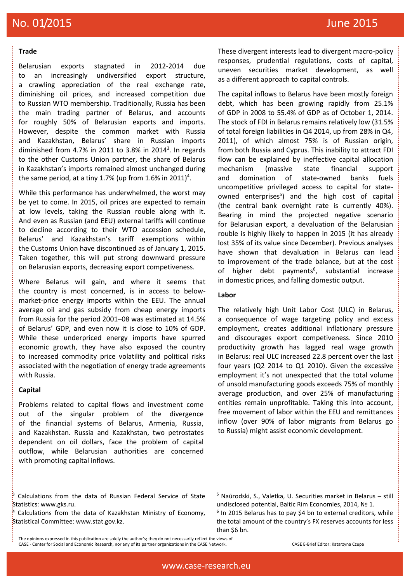#### **Trade**

Belarusian exports stagnated in 2012-2014 due to an increasingly undiversified export structure, a crawling appreciation of the real exchange rate, diminishing oil prices, and increased competition due to Russian WTO membership. Traditionally, Russia has been the main trading partner of Belarus, and accounts for roughly 50% of Belarusian exports and imports. However, despite the common market with Russia and Kazakhstan, Belarus' share in Russian imports diminished from 4.7% in 2011 to 3.8% in 2014<sup>3</sup>. In regards to the other Customs Union partner, the share of Belarus in Kazakhstan's imports remained almost unchanged during the same period, at a tiny 1.7% (up from 1.6% in 2011)<sup>4</sup>.

While this performance has underwhelmed, the worst may be yet to come. In 2015, oil prices are expected to remain at low levels, taking the Russian rouble along with it. And even as Russian (and EEU) external tariffs will continue to decline according to their WTO accession schedule, Belarus' and Kazakhstan's tariff exemptions within the Customs Union have discontinued as of January 1, 2015. Taken together, this will put strong downward pressure on Belarusian exports, decreasing export competiveness.

Where Belarus will gain, and where it seems that the country is most concerned, is in access to belowmarket-price energy imports within the EEU. The annual average oil and gas subsidy from cheap energy imports from Russia for the period 2001–08 was estimated at 14.5% of Belarus' GDP, and even now it is close to 10% of GDP. While these underpriced energy imports have spurred economic growth, they have also exposed the country to increased commodity price volatility and political risks associated with the negotiation of energy trade agreements with Russia.

## **Capital**

ŀ

Problems related to capital flows and investment come out of the singular problem of the divergence of the financial systems of Belarus, Armenia, Russia, and Kazakhstan. Russia and Kazakhstan, two petrostates dependent on oil dollars, face the problem of capital outflow, while Belarusian authorities are concerned with promoting capital inflows.

These divergent interests lead to divergent macro-policy responses, prudential regulations, costs of capital, uneven securities market development, as well as a different approach to capital controls.

The capital inflows to Belarus have been mostly foreign debt, which has been growing rapidly from 25.1% of GDP in 2008 to 55.4% of GDP as of October 1, 2014. The stock of FDI in Belarus remains relatively low (31.5% of total foreign liabilities in Q4 2014, up from 28% in Q4, 2011), of which almost 75% is of Russian origin, from both Russia and Cyprus. This inability to attract FDI flow can be explained by ineffective capital allocation mechanism (massive state financial support and domination of state-owned banks fuels uncompetitive privileged access to capital for stateowned enterprises<sup>5</sup>) and the high cost of capital (the central bank overnight rate is currently 40%). Bearing in mind the projected negative scenario for Belarusian export, a devaluation of the Belarusian rouble is highly likely to happen in 2015 (it has already lost 35% of its value since December). Previous analyses have shown that devaluation in Belarus can lead to improvement of the trade balance, but at the cost of higher debt payments<sup>6</sup>, substantial increase in domestic prices, and falling domestic output.

## **Labor**

The relatively high Unit Labor Cost (ULC) in Belarus, a consequence of wage targeting policy and excess employment, creates additional inflationary pressure and discourages export competiveness. Since 2010 productivity growth has lagged real wage growth in Belarus: real ULC increased 22.8 percent over the last four years (Q2 2014 to Q1 2010). Given the excessive employment it's not unexpected that the total volume of unsold manufacturing goods exceeds 75% of monthly average production, and over 25% of manufacturing entities remain unprofitable. Taking this into account, free movement of labor within the EEU and remittances inflow (over 90% of labor migrants from Belarus go to Russia) might assist economic development.

1

Calculations from the data of Russian Federal Service of State Statistics: www.gks.ru.

 $*$  Calculations from the data of Kazakhstan Ministry of Economy, Statistical Committee: www.stat.gov.kz.

 $5$  Naūrodski, S., Valetka, U. [Securities market in Belarus](http://www.utu.fi/en/units/tse/units/PEI/BRE/Documents/BRE%20Special%20Issue%201_2014.pdf) – still [undisclosed potential](http://www.utu.fi/en/units/tse/units/PEI/BRE/Documents/BRE%20Special%20Issue%201_2014.pdf), Baltic Rim Economies, 2014, № 1.  $6$  In 2015 Belarus has to pay \$4 bn to external creditors, while

the total amount of the country's FX reserves accounts for less than \$6 bn.

The opinions expressed in this publication are solely the author's; they do not necessarily reflect the views of CASE - Center for Social and Economic Research, nor any of its partner organizations in the CASE Network. CASE E-Brief Editor: Katarzyna Czupa